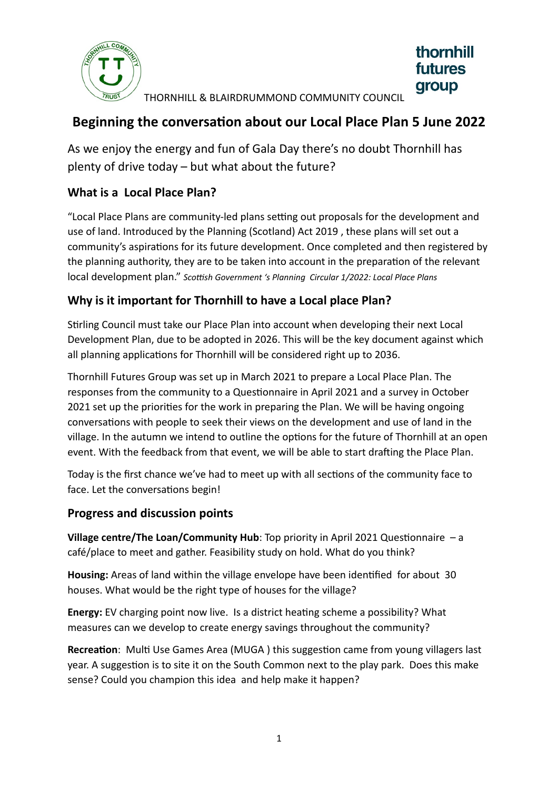

THORNHILL & BLAIRDRUMMOND COMMUNITY COUNCIL

thornhill **futures** 

group

## **Beginning the conversation about our Local Place Plan 5 June 2022**

As we enjoy the energy and fun of Gala Day there's no doubt Thornhill has plenty of drive today – but what about the future?

### **What is a Local Place Plan?**

"Local Place Plans are community-led plans setting out proposals for the development and use of land. Introduced by the Planning (Scotland) Act 2019 , these plans will set out a community's aspirations for its future development. Once completed and then registered by the planning authority, they are to be taken into account in the preparation of the relevant local development plan." *Scottish Government 's Planning Circular 1/2022: Local Place Plans*

## **Why is it important for Thornhill to have a Local place Plan?**

Stirling Council must take our Place Plan into account when developing their next Local Development Plan, due to be adopted in 2026. This will be the key document against which all planning applications for Thornhill will be considered right up to 2036.

Thornhill Futures Group was set up in March 2021 to prepare a Local Place Plan. The responses from the community to a Questionnaire in April 2021 and a survey in October 2021 set up the priorities for the work in preparing the Plan. We will be having ongoing conversations with people to seek their views on the development and use of land in the village. In the autumn we intend to outline the options for the future of Thornhill at an open event. With the feedback from that event, we will be able to start drafting the Place Plan.

Today is the first chance we've had to meet up with all sections of the community face to face. Let the conversations begin!

#### **Progress and discussion points**

**Village centre/The Loan/Community Hub**: Top priority in April 2021 Questionnaire – a café/place to meet and gather. Feasibility study on hold. What do you think?

**Housing:** Areas of land within the village envelope have been identified for about 30 houses. What would be the right type of houses for the village?

**Energy:** EV charging point now live. Is a district heating scheme a possibility? What measures can we develop to create energy savings throughout the community?

**Recreation**: Multi Use Games Area (MUGA ) this suggestion came from young villagers last year. A suggestion is to site it on the South Common next to the play park. Does this make sense? Could you champion this idea and help make it happen?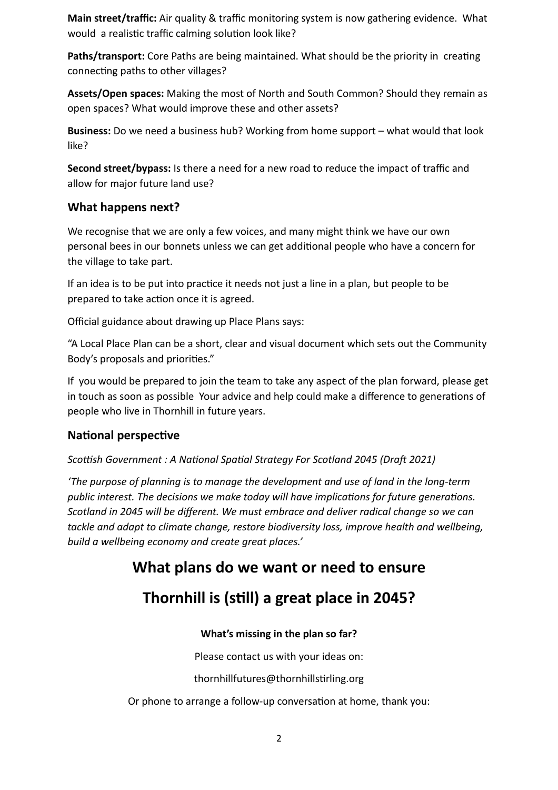**Main street/traffic:** Air quality & traffic monitoring system is now gathering evidence. What would a realistic traffic calming solution look like?

**Paths/transport:** Core Paths are being maintained. What should be the priority in creating connecting paths to other villages?

**Assets/Open spaces:** Making the most of North and South Common? Should they remain as open spaces? What would improve these and other assets?

**Business:** Do we need a business hub? Working from home support – what would that look like?

**Second street/bypass:** Is there a need for a new road to reduce the impact of traffic and allow for major future land use?

#### **What happens next?**

We recognise that we are only a few voices, and many might think we have our own personal bees in our bonnets unless we can get additional people who have a concern for the village to take part.

If an idea is to be put into practice it needs not just a line in a plan, but people to be prepared to take action once it is agreed.

Official guidance about drawing up Place Plans says:

"A Local Place Plan can be a short, clear and visual document which sets out the Community Body's proposals and priorities."

If you would be prepared to join the team to take any aspect of the plan forward, please get in touch as soon as possible Your advice and help could make a difference to generations of people who live in Thornhill in future years.

#### **National perspective**

*Scottish Government : A National Spatial Strategy For Scotland 2045 (Draft 2021)*

*'The purpose of planning is to manage the development and use of land in the long-term public interest. The decisions we make today will have implications for future generations. Scotland in 2045 will be different. We must embrace and deliver radical change so we can tackle and adapt to climate change, restore biodiversity loss, improve health and wellbeing, build a wellbeing economy and create great places.'* 

# **What plans do we want or need to ensure**

# **Thornhill is (still) a great place in 2045?**

#### **What's missing in the plan so far?**

Please contact us with your ideas on:

thornhillfutures@thornhillstirling.org

Or phone to arrange a follow-up conversation at home, thank you: